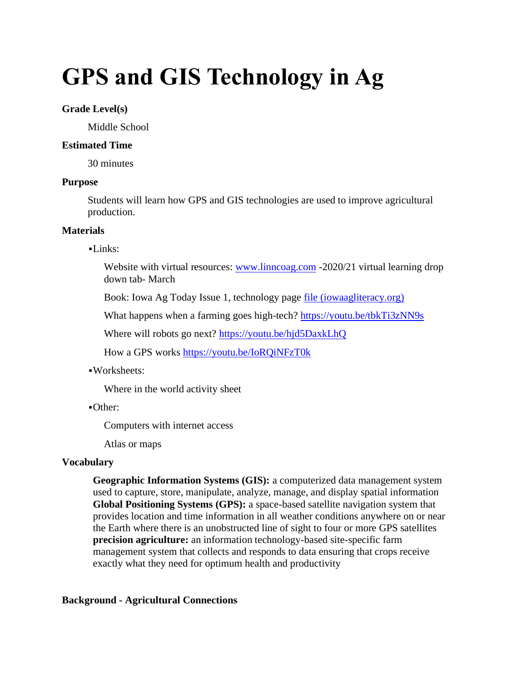# **GPS and GIS Technology in Ag**

## **Grade Level(s)**

Middle School

## **Estimated Time**

30 minutes

## **Purpose**

Students will learn how GPS and GIS technologies are used to improve agricultural production.

## **Materials**

## $-Links:$

Website with virtual resources: [www.linncoag.com](http://www.linncoag.com/) -2020/21 virtual learning drop down tab- March

Book: Iowa Ag Today Issue 1, technology page [file \(iowaagliteracy.org\)](https://www.iowaagliteracy.org/page/file?path=Files%2Fwebsite%2Fiowa-ag-today%2FIALF_IAT_issue1_digital_final.pdf)

What happens when a farming goes high-tech?<https://youtu.be/tbkTi3zNN9s>

Where will robots go next?<https://youtu.be/hjd5DaxkLhQ>

How a GPS works<https://youtu.be/IoRQiNFzT0k>

## ▪Worksheets:

Where in the world activity sheet

▪Other:

Computers with internet access

Atlas or maps

## **Vocabulary**

**Geographic Information Systems (GIS):** a computerized data management system used to capture, store, manipulate, analyze, manage, and display spatial information **Global Positioning Systems (GPS):** a space-based satellite navigation system that provides location and time information in all weather conditions anywhere on or near the Earth where there is an unobstructed line of sight to four or more GPS satellites **precision agriculture:** an information technology-based site-specific farm management system that collects and responds to data ensuring that crops receive exactly what they need for optimum health and productivity

## **Background - Agricultural Connections**